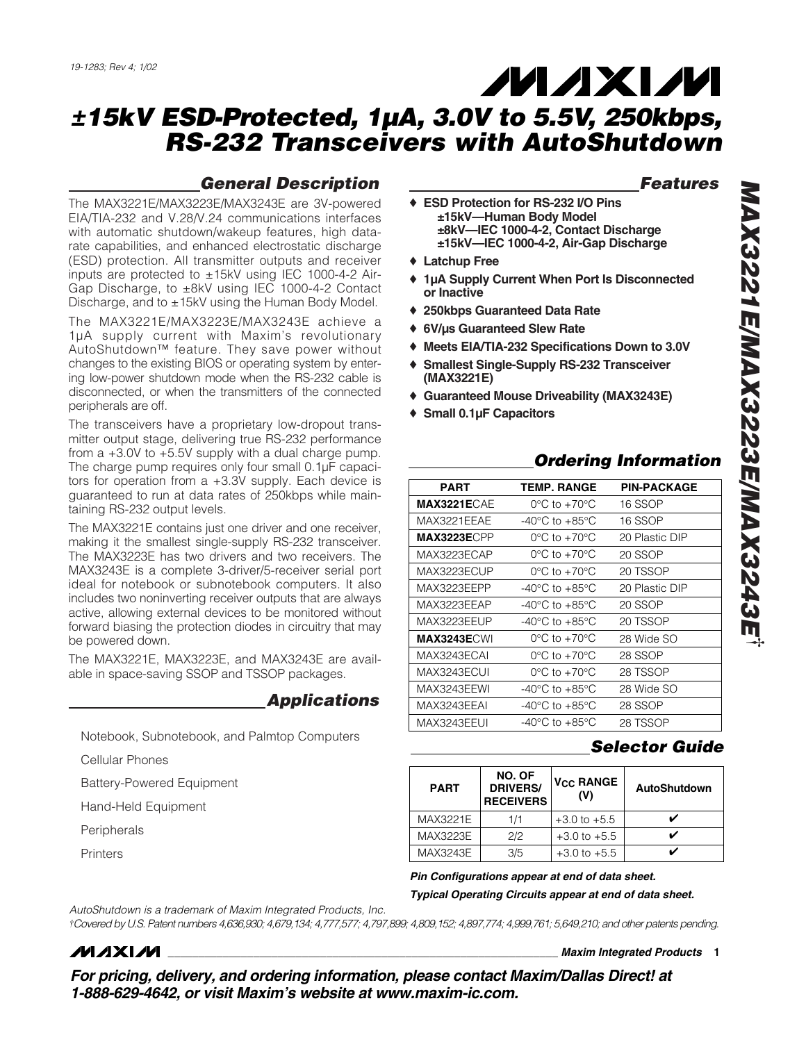## *General Description*

The MAX3221E/MAX3223E/MAX3243E are 3V-powered EIA/TIA-232 and V.28/V.24 communications interfaces with automatic shutdown/wakeup features, high datarate capabilities, and enhanced electrostatic discharge (ESD) protection. All transmitter outputs and receiver inputs are protected to ±15kV using IEC 1000-4-2 Air-Gap Discharge, to ±8kV using IEC 1000-4-2 Contact Discharge, and to ±15kV using the Human Body Model.

The MAX3221E/MAX3223E/MAX3243E achieve a 1µA supply current with Maxim's revolutionary AutoShutdown™ feature. They save power without changes to the existing BIOS or operating system by entering low-power shutdown mode when the RS-232 cable is disconnected, or when the transmitters of the connected peripherals are off.

The transceivers have a proprietary low-dropout transmitter output stage, delivering true RS-232 performance from a +3.0V to +5.5V supply with a dual charge pump. The charge pump requires only four small 0.1µF capacitors for operation from a +3.3V supply. Each device is guaranteed to run at data rates of 250kbps while maintaining RS-232 output levels.

The MAX3221E contains just one driver and one receiver, making it the smallest single-supply RS-232 transceiver. The MAX3223E has two drivers and two receivers. The MAX3243E is a complete 3-driver/5-receiver serial port ideal for notebook or subnotebook computers. It also includes two noninverting receiver outputs that are always active, allowing external devices to be monitored without forward biasing the protection diodes in circuitry that may be powered down.

The MAX3221E, MAX3223E, and MAX3243E are available in space-saving SSOP and TSSOP packages.

## *Applications*

Notebook, Subnotebook, and Palmtop Computers

Cellular Phones

Battery-Powered Equipment

Hand-Held Equipment

Peripherals

**Printers** 

## *Features*

- ♦ **ESD Protection for RS-232 I/O Pins ±15kV—Human Body Model ±8kV—IEC 1000-4-2, Contact Discharge ±15kV—IEC 1000-4-2, Air-Gap Discharge**
- ♦ **Latchup Free**
- ♦ **1µA Supply Current When Port Is Disconnected or Inactive**

**MAXM** 

- ♦ **250kbps Guaranteed Data Rate**
- ♦ **6V/µs Guaranteed Slew Rate**
- **Meets EIA/TIA-232 Specifications Down to 3.0V**
- **Smallest Single-Supply RS-232 Transceiver**
- **(MAX3221E)**
- ♦ **Guaranteed Mouse Driveability (MAX3243E)**
- ♦ **Small 0.1µF Capacitors**

# *Ordering Information*

| PART |                     | <b>TEMP. RANGE</b>                 | <b>PIN-PACKAGE</b> |
|------|---------------------|------------------------------------|--------------------|
|      | <b>MAX3221ECAE</b>  | $0^{\circ}$ C to $+70^{\circ}$ C   | 16 SSOP            |
|      | MAX3221EEAE         | $-40^{\circ}$ C to $+85^{\circ}$ C | 16 SSOP            |
|      | MAX3223ECPP         | $0^{\circ}$ C to $+70^{\circ}$ C   | 20 Plastic DIP     |
|      | MAX3223ECAP         | $0^{\circ}$ C to $+70^{\circ}$ C   | 20 SSOP            |
|      | MAX3223ECUP         | $0^{\circ}$ C to $+70^{\circ}$ C   | 20 TSSOP           |
|      | MAX3223EEPP         | -40°C to +85°C                     | 20 Plastic DIP     |
|      | MAX3223FFAP         | $-40^{\circ}$ C to $+85^{\circ}$ C | 20 SSOP            |
|      | MAX3223EEUP         | -40°C to +85°C                     | 20 TSSOP           |
|      | <b>MAX3243E</b> CWI | $0^{\circ}$ C to $+70^{\circ}$ C   | 28 Wide SO         |
|      | MAX3243ECAL         | $0^{\circ}$ C to +70 $^{\circ}$ C  | 28 SSOP            |
|      | MAX3243ECUL         | $0^{\circ}$ C to $+70^{\circ}$ C   | 28 TSSOP           |
|      | MAX3243EEWI         | $-40^{\circ}$ C to $+85^{\circ}$ C | 28 Wide SO         |
|      | MAX3243EEAI         | $-40^{\circ}$ C to $+85^{\circ}$ C | 28 SSOP            |
|      | MAX3243EEUI         | $-40^{\circ}$ C to $+85^{\circ}$ C | 28 TSSOP           |

## *Selector Guide*

| <b>PART</b> | NO. OF<br><b>DRIVERS/</b><br><b>RECEIVERS</b> | <b>V<sub>CC</sub> RANGE</b><br>(V) | AutoShutdown |
|-------------|-----------------------------------------------|------------------------------------|--------------|
| MAX3221E    | 1/1                                           | $+3.0$ to $+5.5$                   |              |
| MAX3223E    | 2/2                                           | $+3.0$ to $+5.5$                   |              |
| MAX3243E    | 3/5                                           | $+3.0$ to $+5.5$                   |              |

*Pin Configurations appear at end of data sheet.*

*Typical Operating Circuits appear at end of data sheet.*

*AutoShutdown is a trademark of Maxim Integrated Products, Inc.*

*†Covered by U.S. Patent numbers 4,636,930; 4,679,134; 4,777,577; 4,797,899; 4,809,152; 4,897,774; 4,999,761; 5,649,210; and other patents pending.*

# **MAXIM**

**\_\_\_\_\_\_\_\_\_\_\_\_\_\_\_\_\_\_\_\_\_\_\_\_\_\_\_\_\_\_\_\_\_\_\_\_\_\_\_\_\_\_\_\_\_\_\_\_\_\_\_\_\_\_\_\_\_\_\_\_\_\_\_\_** *Maxim Integrated Products* **1**

*For pricing, delivery, and ordering information, please contact Maxim/Dallas Direct! at 1-888-629-4642, or visit Maxim's website at www.maxim-ic.com.*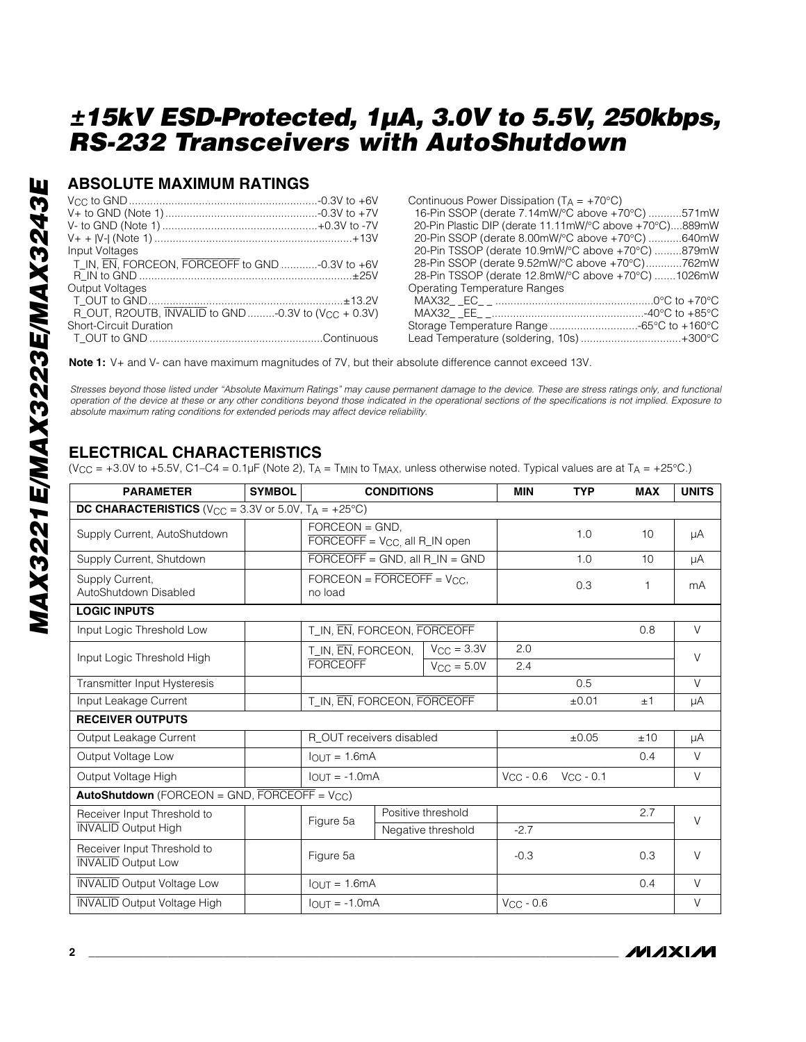## **ABSOLUTE MAXIMUM RATINGS**

|                                                                              | Contir            |
|------------------------------------------------------------------------------|-------------------|
|                                                                              | $16-P$            |
|                                                                              | $20-Pi$           |
|                                                                              | $20-P$            |
| Input Voltages                                                               | $20-P$            |
| T_IN, EN, FORCEON, FORCEOFF to GND -0.3V to +6V                              | $28-P$            |
|                                                                              | $28-P$            |
| Output Voltages                                                              | Opera             |
|                                                                              | <b>MAX</b>        |
| R_OUT, R2OUTB, $\overline{INVALID}$ to GND -0.3V to (V <sub>CC</sub> + 0.3V) | <b>MAX</b>        |
| <b>Short-Circuit Duration</b>                                                | Storac            |
|                                                                              | Lead <sup>-</sup> |

| Continuous Power Dissipation ( $T_A = +70^{\circ}C$ )   |
|---------------------------------------------------------|
| 16-Pin SSOP (derate 7.14mW/°C above +70°C) 571mW        |
| 20-Pin Plastic DIP (derate 11.11mW/°C above +70°C)889mW |
| 20-Pin SSOP (derate 8.00mW/°C above +70°C) 640mW        |
| 20-Pin TSSOP (derate 10.9mW/°C above +70°C) 879mW       |
| 28-Pin SSOP (derate 9.52mW/°C above +70°C)762mW         |
| 28-Pin TSSOP (derate 12.8mW/°C above +70°C) 1026mW      |
| Operating Temperature Ranges                            |
|                                                         |
|                                                         |
| Storage Temperature Range -65°C to +160°C               |
| Lead Temperature (soldering, 10s)+300°C                 |

**Note 1:** V+ and V- can have maximum magnitudes of 7V, but their absolute difference cannot exceed 13V.

*Stresses beyond those listed under "Absolute Maximum Ratings" may cause permanent damage to the device. These are stress ratings only, and functional operation of the device at these or any other conditions beyond those indicated in the operational sections of the specifications is not implied. Exposure to absolute maximum rating conditions for extended periods may affect device reliability.*

## **ELECTRICAL CHARACTERISTICS**

(V<sub>CC</sub> = +3.0V to +5.5V, C1–C4 = 0.1µF (Note 2), T<sub>A</sub> = T<sub>MIN</sub> to T<sub>MAX</sub>, unless otherwise noted. Typical values are at T<sub>A</sub> = +25°C.)

| <b>PARAMETER</b>                                                            | <b>SYMBOL</b> | <b>CONDITIONS</b>                                                      |  |                     | <b>MIN</b>                    | <b>TYP</b> | <b>MAX</b> | <b>UNITS</b> |
|-----------------------------------------------------------------------------|---------------|------------------------------------------------------------------------|--|---------------------|-------------------------------|------------|------------|--------------|
| <b>DC CHARACTERISTICS</b> ( $V_{CC} = 3.3V$ or 5.0V, $T_A = +25^{\circ}C$ ) |               |                                                                        |  |                     |                               |            |            |              |
| Supply Current, AutoShutdown                                                |               | $FORCEON = GND.$<br>$\overline{FORCEOFF}$ = $V_{CC}$ , all R_IN open   |  |                     |                               | 1.0        | 10         | μA           |
| Supply Current, Shutdown                                                    |               | $\overline{FORCEOFF}$ = GND, all R_IN = GND                            |  |                     |                               | 1.0        | 10         | μA           |
| Supply Current,<br>AutoShutdown Disabled                                    |               | $\text{FORCEON} = \overline{\text{FORCEOFF}} = \text{VCC}.$<br>no load |  |                     |                               | 0.3        | 1          | mA           |
| <b>LOGIC INPUTS</b>                                                         |               |                                                                        |  |                     |                               |            |            |              |
| Input Logic Threshold Low                                                   |               | T_IN, EN, FORCEON, FORCEOFF                                            |  |                     |                               |            | 0.8        | $\vee$       |
| Input Logic Threshold High                                                  |               | T_IN, EN, FORCEON,                                                     |  | $V_{\rm CC}$ = 3.3V | 2.0                           |            |            | $\vee$       |
|                                                                             |               | <b>FORCEOFF</b>                                                        |  | $V_{CC} = 5.0V$     | 2.4                           |            |            |              |
| Transmitter Input Hysteresis                                                |               |                                                                        |  |                     |                               | 0.5        |            | $\vee$       |
| Input Leakage Current                                                       |               | T_IN, EN, FORCEON, FORCEOFF                                            |  |                     | ±0.01                         | ±1         | μA         |              |
| <b>RECEIVER OUTPUTS</b>                                                     |               |                                                                        |  |                     |                               |            |            |              |
| Output Leakage Current                                                      |               | R_OUT receivers disabled                                               |  |                     |                               | $\pm 0.05$ | ±10        | μA           |
| Output Voltage Low                                                          |               | $IOUT = 1.6mA$                                                         |  |                     |                               |            | 0.4        | $\vee$       |
| Output Voltage High                                                         |               | $IQIJT = -1.0mA$                                                       |  |                     | $V_{CC} - 0.6$ $V_{CC} - 0.1$ |            |            | $\vee$       |
| <b>AutoShutdown</b> (FORCEON = GND, FORCEOFF = $V_{CC}$ )                   |               |                                                                        |  |                     |                               |            |            |              |
| Receiver Input Threshold to                                                 |               | Figure 5a                                                              |  | Positive threshold  |                               |            | 2.7        | $\vee$       |
| <b>INVALID Output High</b>                                                  |               |                                                                        |  | Negative threshold  | $-2.7$                        |            |            |              |
| Receiver Input Threshold to<br><b>INVALID</b> Output Low                    |               | Figure 5a                                                              |  | $-0.3$              |                               | 0.3        | $\vee$     |              |
| <b>INVALID Output Voltage Low</b>                                           |               | $IQIJT = 1.6mA$                                                        |  |                     |                               |            | 0.4        | $\vee$       |
| <b>INVALID Output Voltage High</b>                                          |               | $IOUT = -1.0mA$                                                        |  |                     | $V_{CC}$ - 0.6                |            |            | $\vee$       |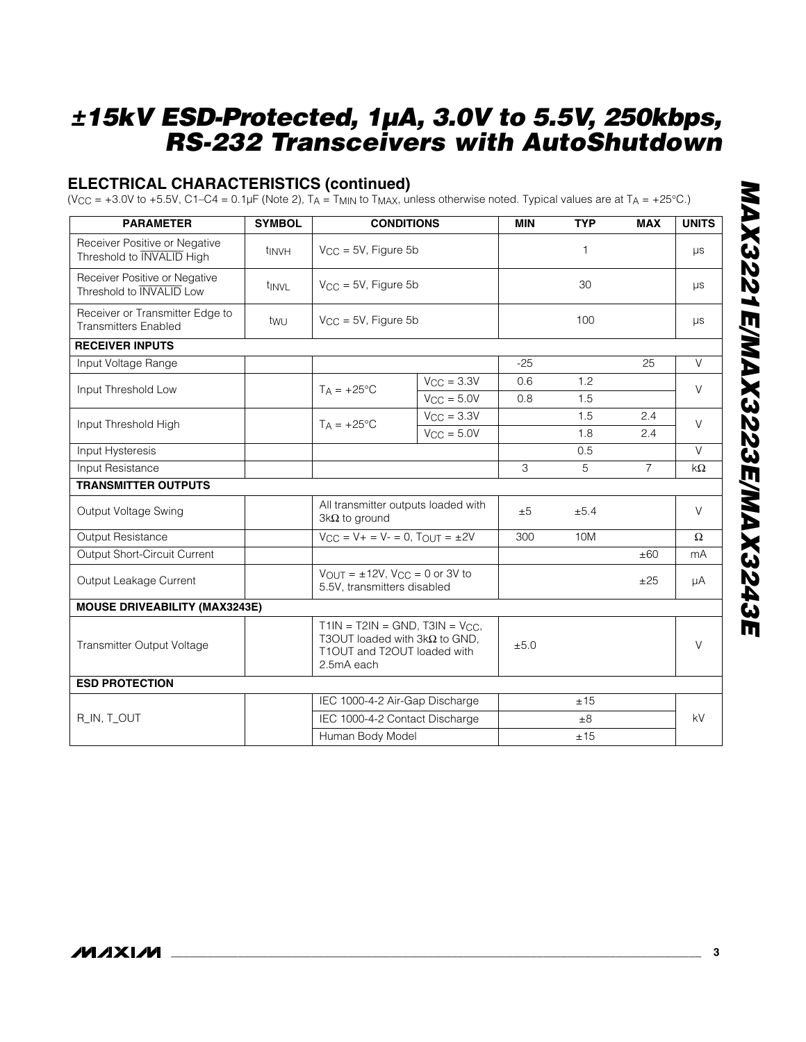# **ELECTRICAL CHARACTERISTICS (continued)**

(V<sub>CC</sub> = +3.0V to +5.5V, C1–C4 = 0.1µF (Note 2), T<sub>A</sub> = T<sub>MIN</sub> to T<sub>MAX</sub>, unless otherwise noted. Typical values are at T<sub>A</sub> = +25°C.)

| <b>PARAMETER</b>                                                  | <b>SYMBOL</b> | <b>CONDITIONS</b>                                                                                                         |                           | <b>MIN</b> | <b>TYP</b> | <b>MAX</b>     | <b>UNITS</b> |
|-------------------------------------------------------------------|---------------|---------------------------------------------------------------------------------------------------------------------------|---------------------------|------------|------------|----------------|--------------|
| Receiver Positive or Negative<br>Threshold to <b>INVALID</b> High | tinvh         |                                                                                                                           | $V_{CC} = 5V$ , Figure 5b |            | 1          |                | μs           |
| Receiver Positive or Negative<br>Threshold to <b>INVALID</b> Low  | tinvl         | $V_{\text{CC}} = 5V$ , Figure 5b                                                                                          |                           |            | 30         |                | μs           |
| Receiver or Transmitter Edge to<br><b>Transmitters Enabled</b>    | twu           | $V_{CC}$ = 5V, Figure 5b                                                                                                  |                           |            | 100        |                | μs           |
| <b>RECEIVER INPUTS</b>                                            |               |                                                                                                                           |                           |            |            |                |              |
| Input Voltage Range                                               |               |                                                                                                                           |                           | $-25$      |            | 25             | $\vee$       |
| Input Threshold Low                                               |               | $T_A = +25$ °C                                                                                                            | $V_{\rm CC} = 3.3V$       | 0.6        | 1.2        |                | $\vee$       |
|                                                                   |               |                                                                                                                           | $V_{CC} = 5.0V$           | 0.8        | 1.5        |                |              |
|                                                                   |               | $TA = +25^{\circ}C$                                                                                                       | $V_{\rm CC} = 3.3V$       |            | 1.5        | 2.4            | $\vee$       |
| Input Threshold High                                              |               |                                                                                                                           | $V_{\rm CC} = 5.0V$       |            | 1.8        | 2.4            |              |
| Input Hysteresis                                                  |               |                                                                                                                           |                           |            | 0.5        |                | V            |
| Input Resistance                                                  |               |                                                                                                                           |                           | 3          | 5          | $\overline{7}$ | kΩ           |
| <b>TRANSMITTER OUTPUTS</b>                                        |               |                                                                                                                           |                           |            |            |                |              |
| Output Voltage Swing                                              |               | All transmitter outputs loaded with<br>$3k\Omega$ to ground                                                               |                           | ±5         | ±5.4       |                | $\vee$       |
| Output Resistance                                                 |               | $V_{CC} = V_{+} = V_{-} = 0$ , $T_{OUT} = \pm 2V$                                                                         |                           | 300        | 10M        |                | $\Omega$     |
| Output Short-Circuit Current                                      |               |                                                                                                                           |                           |            |            | ±60            | mA           |
| Output Leakage Current                                            |               | $V_{OUT} = \pm 12V$ , $V_{CC} = 0$ or 3V to<br>5.5V, transmitters disabled                                                |                           |            |            | ±25            | μA           |
| <b>MOUSE DRIVEABILITY (MAX3243E)</b>                              |               |                                                                                                                           |                           |            |            |                |              |
| Transmitter Output Voltage                                        |               | $T1IN = T2IN = GND$ , $T3IN = VCC$ ,<br>T3OUT loaded with $3k\Omega$ to GND,<br>T1OUT and T2OUT loaded with<br>2.5mA each |                           | ±5.0       |            |                | $\vee$       |
| <b>ESD PROTECTION</b>                                             |               |                                                                                                                           |                           |            |            |                |              |
|                                                                   |               | IEC 1000-4-2 Air-Gap Discharge                                                                                            |                           | ±15        |            |                |              |
| R_IN, T_OUT                                                       |               | IEC 1000-4-2 Contact Discharge                                                                                            |                           |            | $\pm 8$    |                | kV           |
|                                                                   |               | Human Body Model                                                                                                          |                           |            | ±15        |                |              |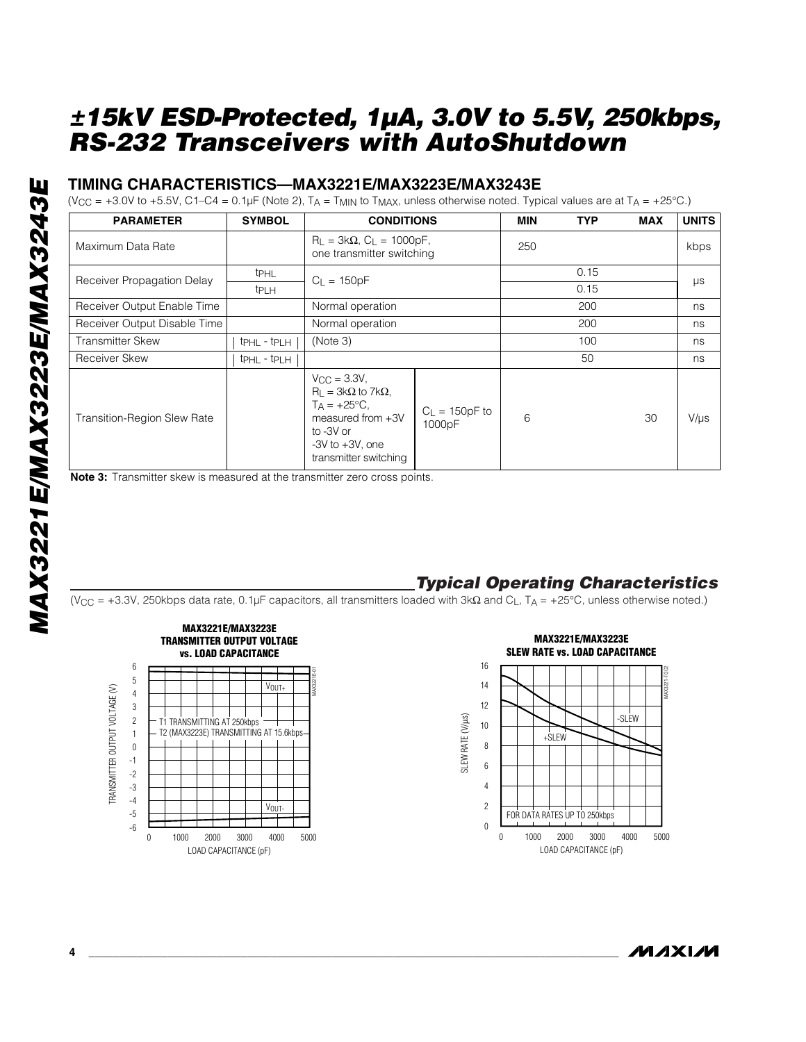## **TIMING CHARACTERISTICS—MAX3221E/MAX3223E/MAX3243E**

(V<sub>CC</sub> = +3.0V to +5.5V, C1–C4 = 0.1µF (Note 2), T<sub>A</sub> = T<sub>MIN</sub> to T<sub>MAX</sub>, unless otherwise noted. Typical values are at T<sub>A</sub> = +25°C.)

| <b>PARAMETER</b>                   | <b>SYMBOL</b>                       | <b>CONDITIONS</b>                                                                                                                                                    | <b>MIN</b>                 | <b>TYP</b> | <b>MAX</b> | <b>UNITS</b> |           |  |
|------------------------------------|-------------------------------------|----------------------------------------------------------------------------------------------------------------------------------------------------------------------|----------------------------|------------|------------|--------------|-----------|--|
| Maximum Data Rate                  |                                     | $R_L = 3k\Omega$ , $C_L = 1000pF$ ,<br>one transmitter switching                                                                                                     | 250                        |            |            | kbps         |           |  |
| Receiver Propagation Delay         | <b>t</b> PHL                        | $C_{L} = 150pF$                                                                                                                                                      |                            |            | 0.15       |              |           |  |
|                                    | <b>tPLH</b>                         |                                                                                                                                                                      |                            | 0.15       |            | $\mu s$      |           |  |
| Receiver Output Enable Time        |                                     | Normal operation                                                                                                                                                     |                            |            | 200        |              | ns        |  |
| Receiver Output Disable Time       |                                     | Normal operation                                                                                                                                                     |                            | 200        |            | ns           |           |  |
| <b>Transmitter Skew</b>            | t <sub>PHL</sub> - t <sub>PLH</sub> | (Note 3)                                                                                                                                                             |                            | 100        |            | ns           |           |  |
| <b>Receiver Skew</b>               | tphl - tplh                         |                                                                                                                                                                      |                            |            | 50         |              | ns        |  |
| <b>Transition-Region Slew Rate</b> |                                     | $V_{\rm CC} = 3.3V$ ,<br>$R_{L} = 3k\Omega$ to 7k $\Omega$ ,<br>$T_A = +25$ °C,<br>measured from $+3V$<br>to -3V or<br>$-3V$ to $+3V$ , one<br>transmitter switching | $C_L = 150pF$ to<br>1000pF | 6          |            | 30           | $V/\mu s$ |  |

**Note 3:** Transmitter skew is measured at the transmitter zero cross points.

## *Typical Operating Characteristics*

(VCC = +3.3V, 250kbps data rate, 0.1µF capacitors, all transmitters loaded with 3kΩ and CL, TA = +25°C, unless otherwise noted.)



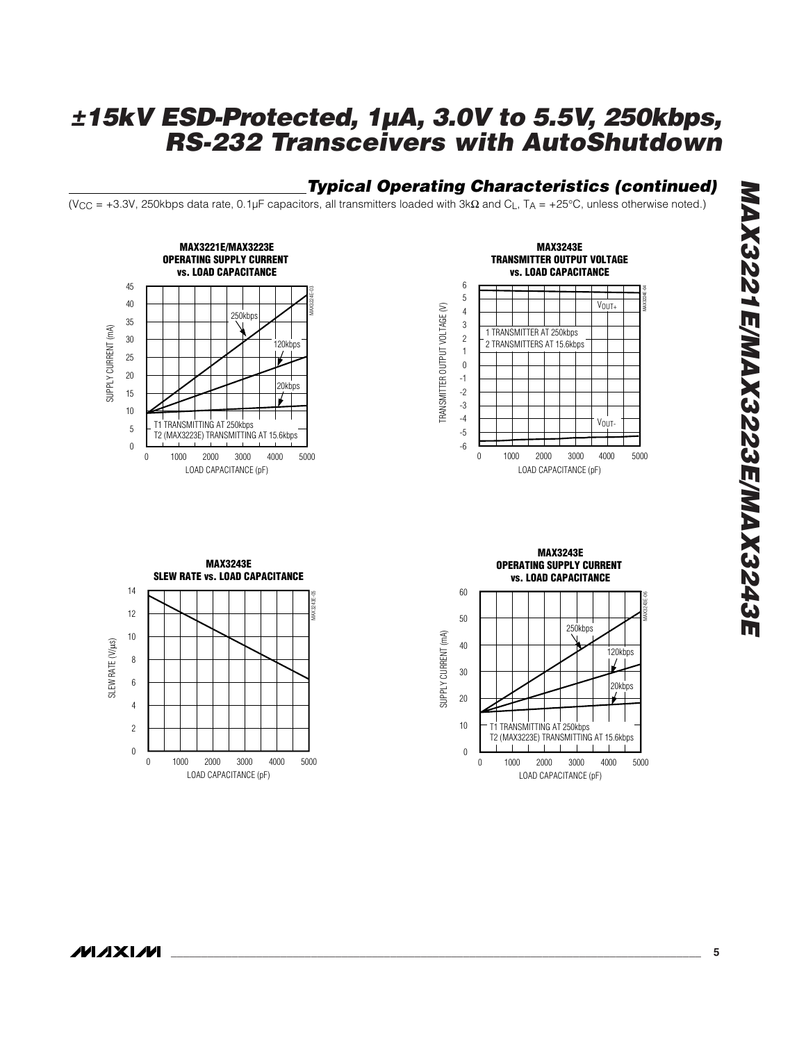## *Typical Operating Characteristics (continued)*

(VCC = +3.3V, 250kbps data rate, 0.1µF capacitors, all transmitters loaded with 3kΩ and CL, TA = +25°C, unless otherwise noted.)





**MAX3243E SLEW RATE vs. LOAD CAPACITANCE** 14 MAX3243E-05 12 10 SLEW RATE (V/µs) SLEW RATE (V/µs) 8 6 4 2 0 0 1000 2000 3000 4000 5000 LOAD CAPACITANCE (pF)

**MAX3243E OPERATING SUPPLY CURRENT vs. LOAD CAPACITANCE** 60 MAX3243E-06 50 250kbps SUPPLY CURRENT (mA) SUPPLY CURRENT (mA) 40 120kbps 30  $20$ kbps 20 10 T1 TRANSMITTING AT 250kbps T2 (MAX3223E) TRANSMITTING AT 15.6kbps  $\Box$ 0 0 2000 1000 3000 4000 5000 LOAD CAPACITANCE (pF)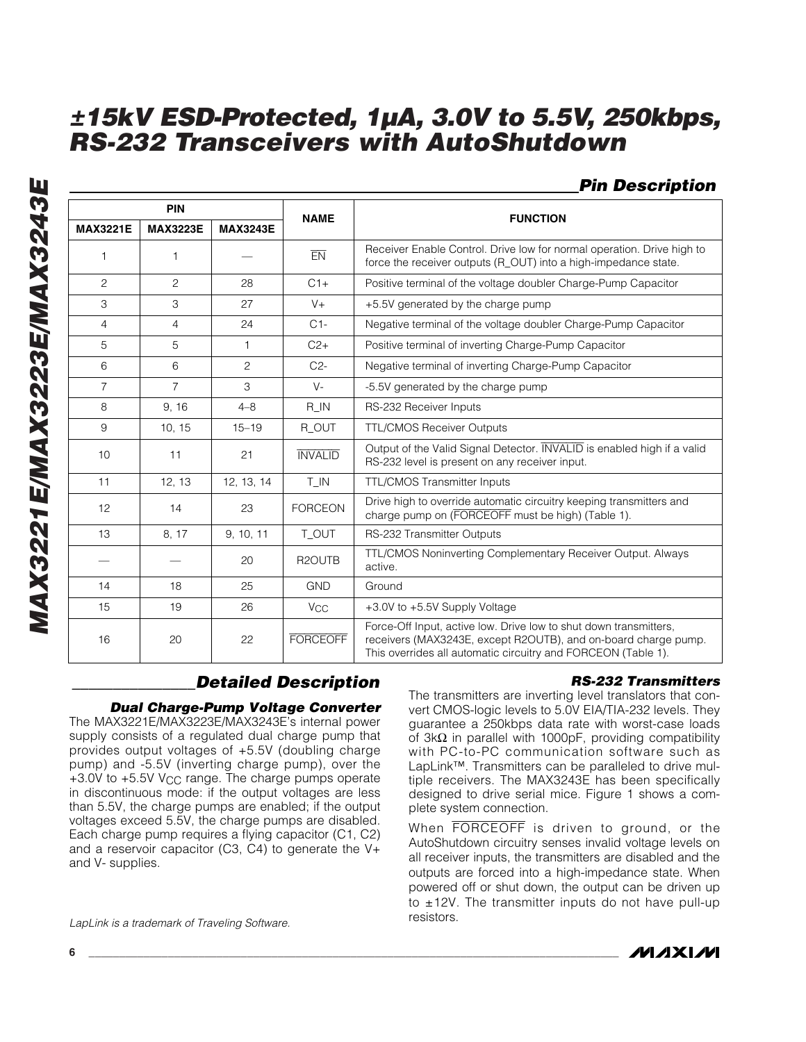## *Pin Description*

| <b>PIN</b>      |                 |                 | <b>NAME</b>           | <b>FUNCTION</b>                                                                                                                                                                                      |  |  |  |
|-----------------|-----------------|-----------------|-----------------------|------------------------------------------------------------------------------------------------------------------------------------------------------------------------------------------------------|--|--|--|
| <b>MAX3221E</b> | <b>MAX3223E</b> | <b>MAX3243E</b> |                       |                                                                                                                                                                                                      |  |  |  |
| 1               | 1               |                 | EN                    | Receiver Enable Control. Drive low for normal operation. Drive high to<br>force the receiver outputs (R_OUT) into a high-impedance state.                                                            |  |  |  |
| 2               | 2               | 28              | $C1+$                 | Positive terminal of the voltage doubler Charge-Pump Capacitor                                                                                                                                       |  |  |  |
| 3               | 3               | 27              | $V +$                 | +5.5V generated by the charge pump                                                                                                                                                                   |  |  |  |
| $\overline{4}$  | $\overline{4}$  | 24              | $C1-$                 | Negative terminal of the voltage doubler Charge-Pump Capacitor                                                                                                                                       |  |  |  |
| 5               | 5               | $\mathbf{1}$    | $C2+$                 | Positive terminal of inverting Charge-Pump Capacitor                                                                                                                                                 |  |  |  |
| 6               | 6               | $\overline{c}$  | $C2-$                 | Negative terminal of inverting Charge-Pump Capacitor                                                                                                                                                 |  |  |  |
| $\overline{7}$  | $\overline{7}$  | 3               | $V -$                 | -5.5V generated by the charge pump                                                                                                                                                                   |  |  |  |
| 8               | 9, 16           | $4 - 8$         | $R$ <sub>IN</sub>     | RS-232 Receiver Inputs                                                                                                                                                                               |  |  |  |
| 9               | 10, 15          | $15 - 19$       | R_OUT                 | <b>TTL/CMOS Receiver Outputs</b>                                                                                                                                                                     |  |  |  |
| 10              | 11              | 21              | <b>INVALID</b>        | Output of the Valid Signal Detector. INVALID is enabled high if a valid<br>RS-232 level is present on any receiver input.                                                                            |  |  |  |
| 11              | 12, 13          | 12, 13, 14      | $T$ <sub>IN</sub>     | TTL/CMOS Transmitter Inputs                                                                                                                                                                          |  |  |  |
| 12              | 14              | 23              | <b>FORCEON</b>        | Drive high to override automatic circuitry keeping transmitters and<br>charge pump on (FORCEOFF must be high) (Table 1).                                                                             |  |  |  |
| 13              | 8, 17           | 9, 10, 11       | T_OUT                 | RS-232 Transmitter Outputs                                                                                                                                                                           |  |  |  |
|                 |                 | 20              | R <sub>2</sub> OUTB   | TTL/CMOS Noninverting Complementary Receiver Output. Always<br>active.                                                                                                                               |  |  |  |
| 14              | 18              | 25              | <b>GND</b>            | Ground                                                                                                                                                                                               |  |  |  |
| 15              | 19              | 26              | <b>V<sub>CC</sub></b> | +3.0V to +5.5V Supply Voltage                                                                                                                                                                        |  |  |  |
| 16              | 20              | 22              | <b>FORCEOFF</b>       | Force-Off Input, active low. Drive low to shut down transmitters,<br>receivers (MAX3243E, except R2OUTB), and on-board charge pump.<br>This overrides all automatic circuitry and FORCEON (Table 1). |  |  |  |

## *\_\_\_\_\_\_\_\_\_\_\_\_\_\_\_Detailed Description*

*Dual Charge-Pump Voltage Converter*

The MAX3221E/MAX3223E/MAX3243E's internal power supply consists of a regulated dual charge pump that provides output voltages of +5.5V (doubling charge pump) and -5.5V (inverting charge pump), over the +3.0V to +5.5V V<sub>CC</sub> range. The charge pumps operate in discontinuous mode: if the output voltages are less than 5.5V, the charge pumps are enabled; if the output voltages exceed 5.5V, the charge pumps are disabled. Each charge pump requires a flying capacitor (C1, C2) and a reservoir capacitor (C3, C4) to generate the V+ and V- supplies.

*LapLink is a trademark of Traveling Software.*

#### *RS-232 Transmitters*

The transmitters are inverting level translators that convert CMOS-logic levels to 5.0V EIA/TIA-232 levels. They guarantee a 250kbps data rate with worst-case loads of 3kΩ in parallel with 1000pF, providing compatibility with PC-to-PC communication software such as LapLink™. Transmitters can be paralleled to drive multiple receivers. The MAX3243E has been specifically designed to drive serial mice. Figure 1 shows a complete system connection.

When FORCEOFF is driven to ground, or the AutoShutdown circuitry senses invalid voltage levels on all receiver inputs, the transmitters are disabled and the outputs are forced into a high-impedance state. When powered off or shut down, the output can be driven up to  $\pm$ 12V. The transmitter inputs do not have pull-up resistors.

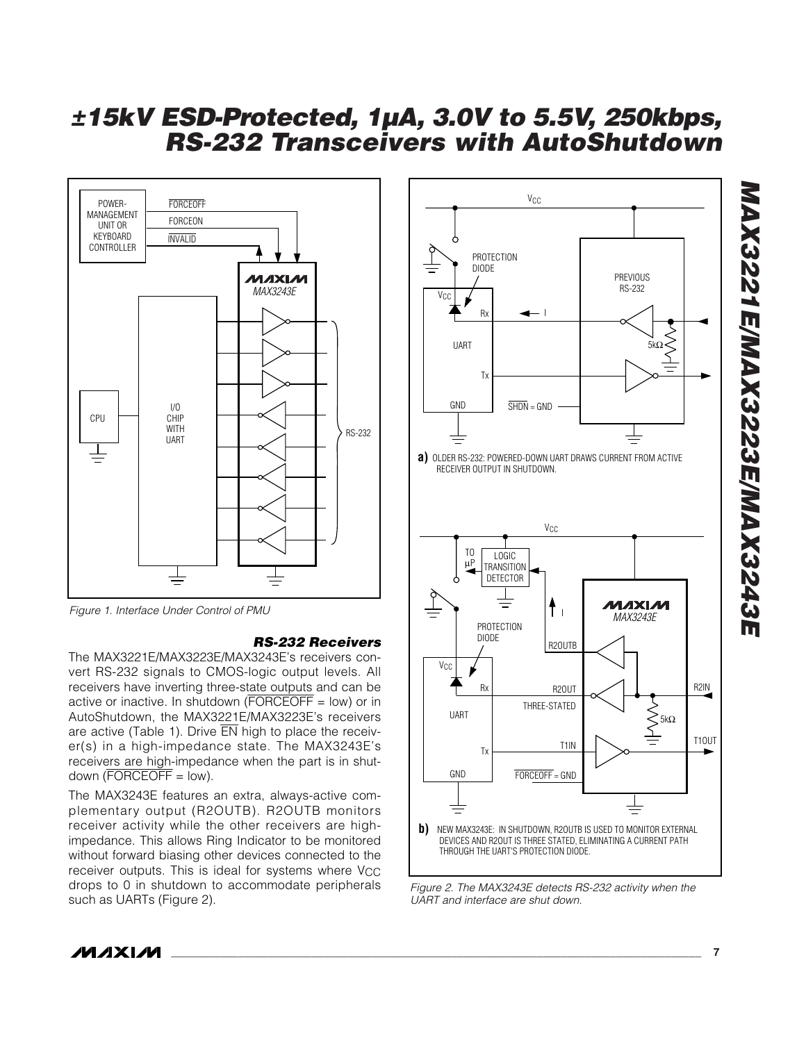

#### *RS-232 Receivers*

The MAX3221E/MAX3223E/MAX3243E's receivers convert RS-232 signals to CMOS-logic output levels. All receivers have inverting three-state outputs and can be active or inactive. In shutdown ( $\overline{\mathsf{FORCEOFF}}$  = low) or in AutoShutdown, the MAX3221E/MAX3223E's receivers are active (Table 1). Drive EN high to place the receiver(s) in a high-impedance state. The MAX3243E's receivers are high-impedance when the part is in shutdown  $(\overline{FORCEOFF}} = \text{low}).$ 

The MAX3243E features an extra, always-active complementary output (R2OUTB). R2OUTB monitors receiver activity while the other receivers are highimpedance. This allows Ring Indicator to be monitored without forward biasing other devices connected to the receiver outputs. This is ideal for systems where  $V_{CC}$ drops to 0 in shutdown to accommodate peripherals such as UARTs (Figure 2).



*Figure 2. The MAX3243E detects RS-232 activity when the UART and interface are shut down.*

# *MAX3221E/MAX3223E/MAX3243E* MAX3221E/MAX3223E/MAX3243E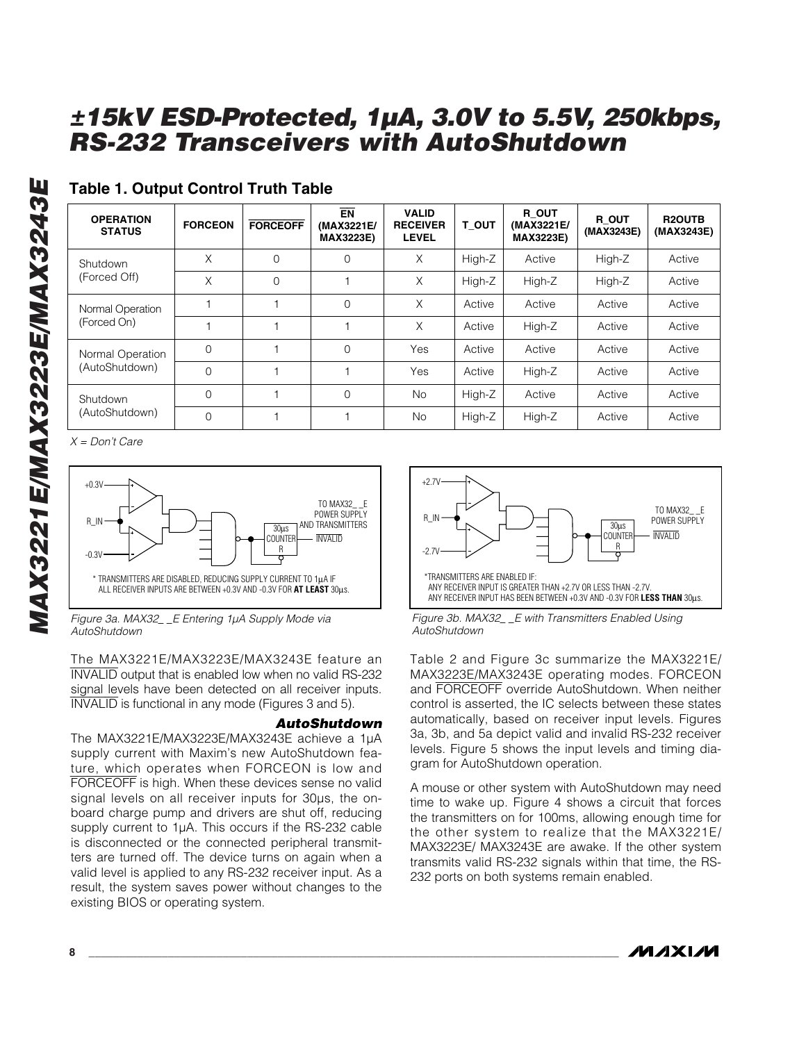| <b>OPERATION</b><br><b>STATUS</b> | <b>FORCEON</b> | <b>FORCEOFF</b> | <b>EN</b><br>(MAX3221E/<br><b>MAX3223E)</b> | <b>VALID</b><br><b>RECEIVER</b><br><b>LEVEL</b> | T OUT  | R OUT<br>(MAX3221E/<br><b>MAX3223E)</b> | R OUT<br>(MAX3243E) | <b>R2OUTB</b><br>(MAX3243E) |
|-----------------------------------|----------------|-----------------|---------------------------------------------|-------------------------------------------------|--------|-----------------------------------------|---------------------|-----------------------------|
| Shutdown                          | X              | $\Omega$        | $\Omega$                                    | X                                               | High-Z | Active                                  | High-Z              | Active                      |
| (Forced Off)                      | X              | $\Omega$        |                                             | X                                               | High-Z | High-Z                                  | High-Z              | Active                      |
| Normal Operation                  |                |                 | $\Omega$                                    | X                                               | Active | Active                                  | Active              | Active                      |
| (Forced On)                       |                |                 |                                             | X                                               | Active | High-Z                                  | Active              | Active                      |
| Normal Operation                  | $\Omega$       |                 | $\Omega$                                    | Yes                                             | Active | Active                                  | Active              | Active                      |
| (AutoShutdown)                    | $\Omega$       |                 |                                             | Yes                                             | Active | High-Z                                  | Active              | Active                      |
| Shutdown                          | $\Omega$       |                 | $\Omega$                                    | <b>No</b>                                       | High-Z | Active                                  | Active              | Active                      |
| (AutoShutdown)                    | $\Omega$       |                 |                                             | <b>No</b>                                       | High-Z | High-Z                                  | Active              | Active                      |

## **Table 1. Output Control Truth Table**

*X = Don't Care*



*Figure 3a. MAX32\_ \_E Entering 1µA Supply Mode via AutoShutdown*

The MAX3221E/MAX3223E/MAX3243E feature an INVALID output that is enabled low when no valid RS-232 signal levels have been detected on all receiver inputs. INVALID is functional in any mode (Figures 3 and 5).

#### *AutoShutdown*

The MAX3221E/MAX3223E/MAX3243E achieve a 1µA supply current with Maxim's new AutoShutdown feature, which operates when FORCEON is low and FORCEOFF is high. When these devices sense no valid signal levels on all receiver inputs for 30µs, the onboard charge pump and drivers are shut off, reducing supply current to 1µA. This occurs if the RS-232 cable is disconnected or the connected peripheral transmitters are turned off. The device turns on again when a valid level is applied to any RS-232 receiver input. As a result, the system saves power without changes to the existing BIOS or operating system.



*Figure 3b. MAX32\_ \_E with Transmitters Enabled Using AutoShutdown*

Table 2 and Figure 3c summarize the MAX3221E/ MAX3223E/MAX3243E operating modes. FORCEON and FORCEOFF override AutoShutdown. When neither control is asserted, the IC selects between these states automatically, based on receiver input levels. Figures 3a, 3b, and 5a depict valid and invalid RS-232 receiver levels. Figure 5 shows the input levels and timing diagram for AutoShutdown operation.

A mouse or other system with AutoShutdown may need time to wake up. Figure 4 shows a circuit that forces the transmitters on for 100ms, allowing enough time for the other system to realize that the MAX3221E/ MAX3223E/ MAX3243E are awake. If the other system transmits valid RS-232 signals within that time, the RS-232 ports on both systems remain enabled.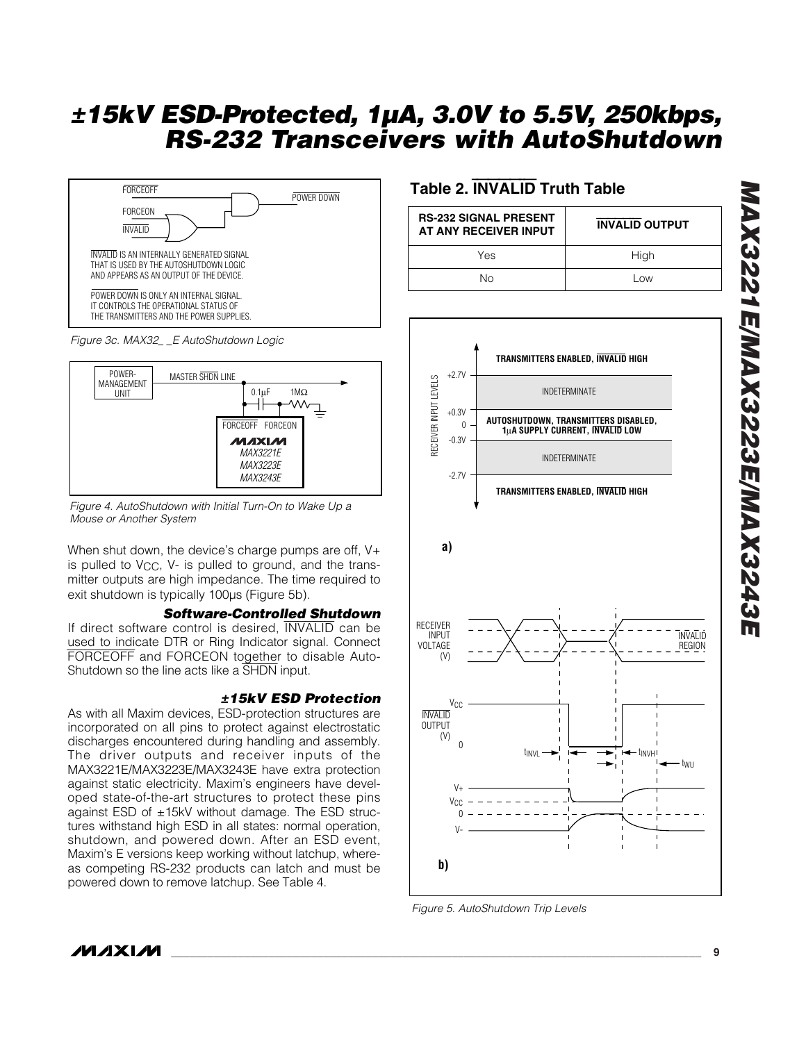



*Figure 4. AutoShutdown with Initial Turn-On to Wake Up a Mouse or Another System*

When shut down, the device's charge pumps are off, V+ is pulled to V<sub>CC</sub>, V- is pulled to ground, and the transmitter outputs are high impedance. The time required to exit shutdown is typically 100µs (Figure 5b).

#### *Software-Controlled Shutdown*

If direct software control is desired, INVALID can be used to indicate DTR or Ring Indicator signal. Connect FORCEOFF and FORCEON together to disable Auto-Shutdown so the line acts like a SHDN input.

#### *±15kV ESD Protection*

As with all Maxim devices, ESD-protection structures are incorporated on all pins to protect against electrostatic discharges encountered during handling and assembly. The driver outputs and receiver inputs of the MAX3221E/MAX3223E/MAX3243E have extra protection against static electricity. Maxim's engineers have developed state-of-the-art structures to protect these pins against ESD of  $\pm$ 15kV without damage. The ESD structures withstand high ESD in all states: normal operation, shutdown, and powered down. After an ESD event, Maxim's E versions keep working without latchup, whereas competing RS-232 products can latch and must be powered down to remove latchup. See Table 4.

## **Table 2.** INVALID **Truth Table**

| <b>RS-232 SIGNAL PRESENT</b><br>AT ANY RECEIVER INPUT | <b>INVALID OUTPUT</b> |
|-------------------------------------------------------|-----------------------|
| Yes                                                   | High                  |
| N٥                                                    | l ow                  |



*Figure 5. AutoShutdown Trip Levels*

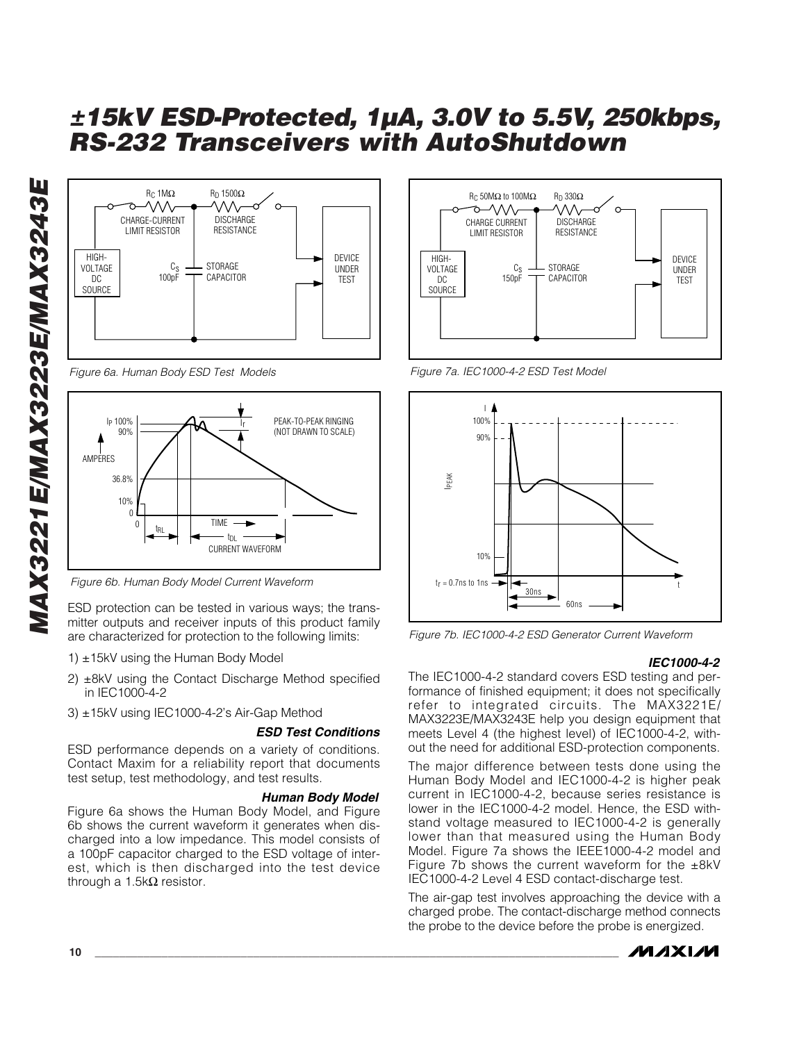

*Figure 6a. Human Body ESD Test Models*



*Figure 6b. Human Body Model Current Waveform*

ESD protection can be tested in various ways; the transmitter outputs and receiver inputs of this product family are characterized for protection to the following limits:

- 1) ±15kV using the Human Body Model
- 2) ±8kV using the Contact Discharge Method specified in IEC1000-4-2
- 3) ±15kV using IEC1000-4-2's Air-Gap Method

#### *ESD Test Conditions*

ESD performance depends on a variety of conditions. Contact Maxim for a reliability report that documents test setup, test methodology, and test results.

#### *Human Body Model*

Figure 6a shows the Human Body Model, and Figure 6b shows the current waveform it generates when discharged into a low impedance. This model consists of a 100pF capacitor charged to the ESD voltage of interest, which is then discharged into the test device through a  $1.5$ kΩ resistor.



*Figure 7a. IEC1000-4-2 ESD Test Model*



*Figure 7b. IEC1000-4-2 ESD Generator Current Waveform*

#### *IEC1000-4-2*

The IEC1000-4-2 standard covers ESD testing and performance of finished equipment; it does not specifically refer to integrated circuits. The MAX3221E/ MAX3223E/MAX3243E help you design equipment that meets Level 4 (the highest level) of IEC1000-4-2, without the need for additional ESD-protection components.

The major difference between tests done using the Human Body Model and IEC1000-4-2 is higher peak current in IEC1000-4-2, because series resistance is lower in the IEC1000-4-2 model. Hence, the ESD withstand voltage measured to IEC1000-4-2 is generally lower than that measured using the Human Body Model. Figure 7a shows the IEEE1000-4-2 model and Figure 7b shows the current waveform for the  $\pm 8kV$ IEC1000-4-2 Level 4 ESD contact-discharge test.

The air-gap test involves approaching the device with a charged probe. The contact-discharge method connects the probe to the device before the probe is energized.

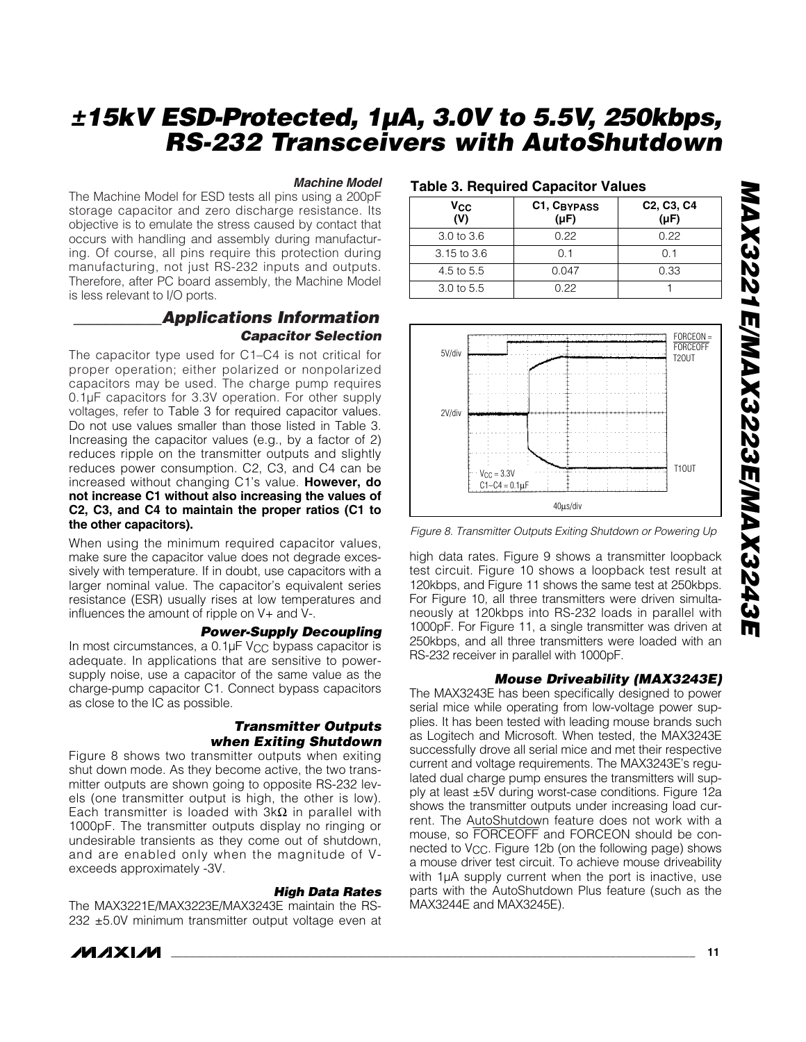#### *Machine Model*

The Machine Model for ESD tests all pins using a 200pF storage capacitor and zero discharge resistance. Its objective is to emulate the stress caused by contact that occurs with handling and assembly during manufacturing. Of course, all pins require this protection during manufacturing, not just RS-232 inputs and outputs. Therefore, after PC board assembly, the Machine Model is less relevant to I/O ports.

#### *\_\_\_\_\_\_\_\_\_\_\_Applications Information Capacitor Selection*

The capacitor type used for C1–C4 is not critical for proper operation; either polarized or nonpolarized capacitors may be used. The charge pump requires 0.1µF capacitors for 3.3V operation. For other supply voltages, refer to Table 3 for required capacitor values. Do not use values smaller than those listed in Table 3. Increasing the capacitor values (e.g., by a factor of 2) reduces ripple on the transmitter outputs and slightly reduces power consumption. C2, C3, and C4 can be increased without changing C1's value. **However, do not increase C1 without also increasing the values of C2, C3, and C4 to maintain the proper ratios (C1 to the other capacitors).**

When using the minimum required capacitor values, make sure the capacitor value does not degrade excessively with temperature. If in doubt, use capacitors with a larger nominal value. The capacitor's equivalent series resistance (ESR) usually rises at low temperatures and influences the amount of ripple on V+ and V-.

#### *Power-Supply Decoupling*

In most circumstances, a  $0.1\mu$ F V<sub>CC</sub> bypass capacitor is adequate. In applications that are sensitive to powersupply noise, use a capacitor of the same value as the charge-pump capacitor C1. Connect bypass capacitors as close to the IC as possible.

#### *Transmitter Outputs when Exiting Shutdown*

Figure 8 shows two transmitter outputs when exiting shut down mode. As they become active, the two transmitter outputs are shown going to opposite RS-232 levels (one transmitter output is high, the other is low). Each transmitter is loaded with  $3k\Omega$  in parallel with 1000pF. The transmitter outputs display no ringing or undesirable transients as they come out of shutdown, and are enabled only when the magnitude of Vexceeds approximately -3V.

#### *High Data Rates*

The MAX3221E/MAX3223E/MAX3243E maintain the RS-232 ±5.0V minimum transmitter output voltage even at

## **Table 3. Required Capacitor Values**

| Vcc<br>(V)  | C1, CBYPASS<br>$(\mu F)$ | C <sub>2</sub> , C <sub>3</sub> , C <sub>4</sub><br>$(\mu F)$ |  |  |  |  |  |  |
|-------------|--------------------------|---------------------------------------------------------------|--|--|--|--|--|--|
| 3.0 to 3.6  | 0.22                     | O 22                                                          |  |  |  |  |  |  |
| 3.15 to 3.6 | ი 1                      | ი 1                                                           |  |  |  |  |  |  |
| 4.5 to 5.5  | 0.047                    | 0.33                                                          |  |  |  |  |  |  |
| 3.0 to 5.5  | በ 22                     |                                                               |  |  |  |  |  |  |



*Figure 8. Transmitter Outputs Exiting Shutdown or Powering Up*

high data rates. Figure 9 shows a transmitter loopback test circuit. Figure 10 shows a loopback test result at 120kbps, and Figure 11 shows the same test at 250kbps. For Figure 10, all three transmitters were driven simultaneously at 120kbps into RS-232 loads in parallel with 1000pF. For Figure 11, a single transmitter was driven at 250kbps, and all three transmitters were loaded with an RS-232 receiver in parallel with 1000pF.

#### *Mouse Driveability (MAX3243E)*

The MAX3243E has been specifically designed to power serial mice while operating from low-voltage power supplies. It has been tested with leading mouse brands such as Logitech and Microsoft. When tested, the MAX3243E successfully drove all serial mice and met their respective current and voltage requirements. The MAX3243E's regulated dual charge pump ensures the transmitters will supply at least ±5V during worst-case conditions. Figure 12a shows the transmitter outputs under increasing load current. The AutoShutdown feature does not work with a mouse, so FORCEOFF and FORCEON should be connected to V<sub>CC</sub>. Figure 12b (on the following page) shows a mouse driver test circuit. To achieve mouse driveability with 1µA supply current when the port is inactive, use parts with the AutoShutdown Plus feature (such as the MAX3244E and MAX3245E).

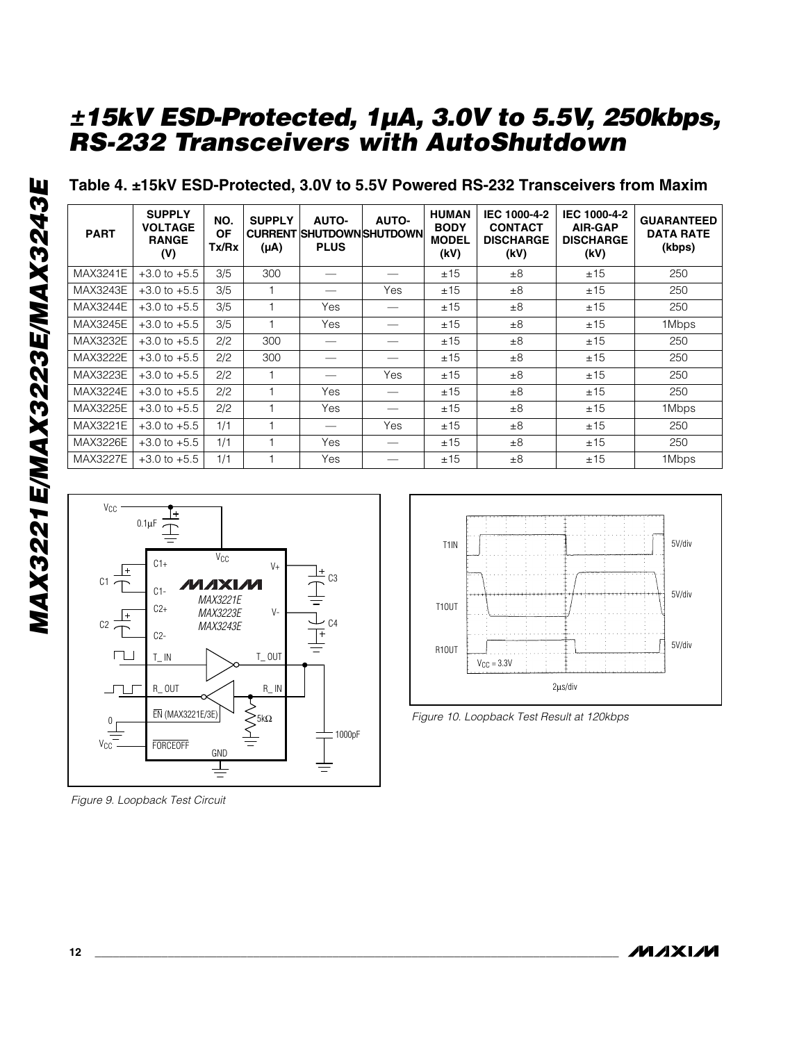**Table 4. ±15kV ESD-Protected, 3.0V to 5.5V Powered RS-232 Transceivers from Maxim**

| <b>PART</b>     | <b>SUPPLY</b><br><b>VOLTAGE</b><br><b>RANGE</b><br>(V) | NO.<br><b>OF</b><br>Tx/Rx | <b>SUPPLY</b><br><b>CURRENT</b><br>$(\mu A)$ | <b>AUTO-</b><br><b>PLUS</b> | <b>AUTO-</b><br><b>ISHUTDOWNISHUTDOWNI</b> | <b>HUMAN</b><br><b>BODY</b><br><b>MODEL</b><br>(kV) | IEC 1000-4-2<br><b>CONTACT</b><br><b>DISCHARGE</b><br>(kV) | IEC 1000-4-2<br><b>AIR-GAP</b><br><b>DISCHARGE</b><br>(kV) | <b>GUARANTEED</b><br><b>DATA RATE</b><br>(kbps) |
|-----------------|--------------------------------------------------------|---------------------------|----------------------------------------------|-----------------------------|--------------------------------------------|-----------------------------------------------------|------------------------------------------------------------|------------------------------------------------------------|-------------------------------------------------|
| <b>MAX3241E</b> | $+3.0$ to $+5.5$                                       | 3/5                       | 300                                          |                             |                                            | ±15                                                 | ±8                                                         | ±15                                                        | 250                                             |
| <b>MAX3243E</b> | $+3.0$ to $+5.5$                                       | 3/5                       |                                              |                             | Yes                                        | ±15                                                 | ±8                                                         | ±15                                                        | 250                                             |
| <b>MAX3244E</b> | $+3.0$ to $+5.5$                                       | 3/5                       |                                              | Yes                         |                                            | ±15                                                 | ±8                                                         | ±15                                                        | 250                                             |
| MAX3245E        | $+3.0$ to $+5.5$                                       | 3/5                       | ٠                                            | Yes                         |                                            | ±15                                                 | ±8                                                         | ±15                                                        | 1Mbps                                           |
| <b>MAX3232E</b> | $+3.0$ to $+5.5$                                       | 2/2                       | 300                                          |                             |                                            | ±15                                                 | ±8                                                         | ±15                                                        | 250                                             |
| MAX3222E        | $+3.0$ to $+5.5$                                       | 2/2                       | 300                                          |                             |                                            | ±15                                                 | ±8                                                         | ±15                                                        | 250                                             |
| MAX3223E        | $+3.0$ to $+5.5$                                       | 2/2                       | н                                            |                             | Yes                                        | ±15                                                 | ±8                                                         | ±15                                                        | 250                                             |
| <b>MAX3224E</b> | $+3.0$ to $+5.5$                                       | 2/2                       |                                              | Yes                         |                                            | ±15                                                 | ±8                                                         | ±15                                                        | 250                                             |
| MAX3225E        | $+3.0$ to $+5.5$                                       | 2/2                       |                                              | Yes                         |                                            | ±15                                                 | ±8                                                         | ±15                                                        | 1Mbps                                           |
| MAX3221E        | $+3.0$ to $+5.5$                                       | 1/1                       |                                              |                             | Yes                                        | ±15                                                 | ±8                                                         | ±15                                                        | 250                                             |
| <b>MAX3226E</b> | $+3.0$ to $+5.5$                                       | 1/1                       |                                              | Yes                         |                                            | ±15                                                 | ±8                                                         | ±15                                                        | 250                                             |
| <b>MAX3227E</b> | $+3.0$ to $+5.5$                                       | 1/1                       |                                              | Yes                         |                                            | ±15                                                 | ±8                                                         | ±15                                                        | 1Mbps                                           |



*Figure 9. Loopback Test Circuit*



*Figure 10. Loopback Test Result at 120kbps*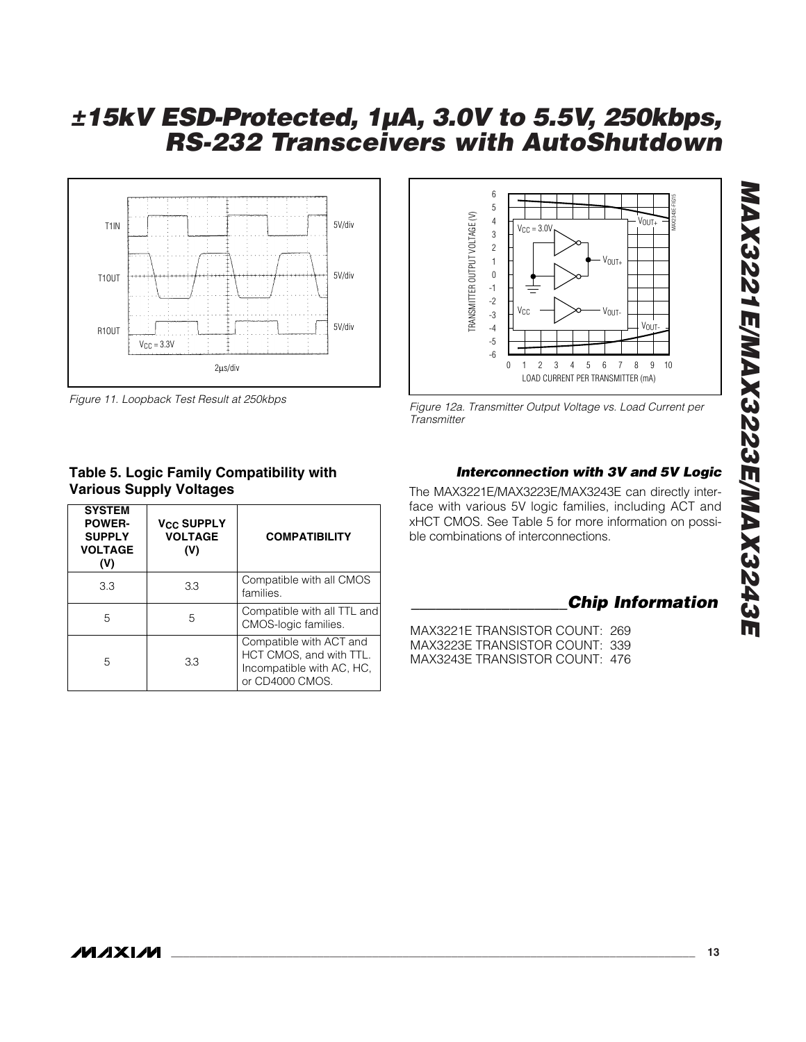

*Figure 11. Loopback Test Result at 250kbps*

### **Table 5. Logic Family Compatibility with Various Supply Voltages**

| <b>SYSTEM</b><br><b>POWER-</b><br><b>SUPPLY</b><br><b>VOLTAGE</b><br>(V) | <b>V<sub>CC</sub> SUPPLY</b><br><b>VOLTAGE</b><br>(V) | <b>COMPATIBILITY</b>                                                                               |
|--------------------------------------------------------------------------|-------------------------------------------------------|----------------------------------------------------------------------------------------------------|
| 3.3                                                                      | 3.3                                                   | Compatible with all CMOS<br>families.                                                              |
| 5                                                                        | 5                                                     | Compatible with all TTL and<br>CMOS-logic families.                                                |
| 5                                                                        | 3.3                                                   | Compatible with ACT and<br>HCT CMOS, and with TTL.<br>Incompatible with AC, HC,<br>or CD4000 CMOS. |



*Figure 12a. Transmitter Output Voltage vs. Load Current per Transmitter*

#### *Interconnection with 3V and 5V Logic*

The MAX3221E/MAX3223E/MAX3243E can directly interface with various 5V logic families, including ACT and xHCT CMOS. See Table 5 for more information on possible combinations of interconnections.

## *\_\_\_\_\_\_\_\_\_\_\_\_\_\_\_\_\_\_\_Chip Information*

MAX3221E TRANSISTOR COUNT: 269 MAX3223E TRANSISTOR COUNT: 339 MAX3243E TRANSISTOR COUNT: 476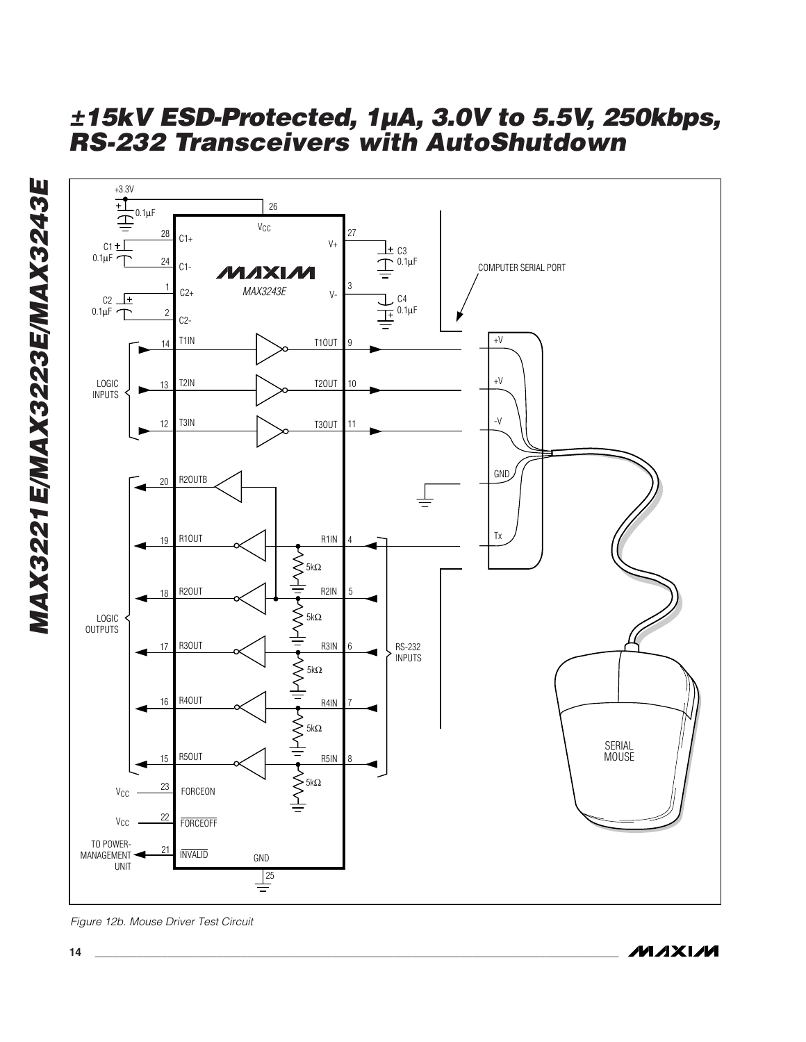

*Figure 12b. Mouse Driver Test Circuit*

MAX3221E/MAX3223E/MAX3243E *MAX3221E/MAX3223E/MAX3243E*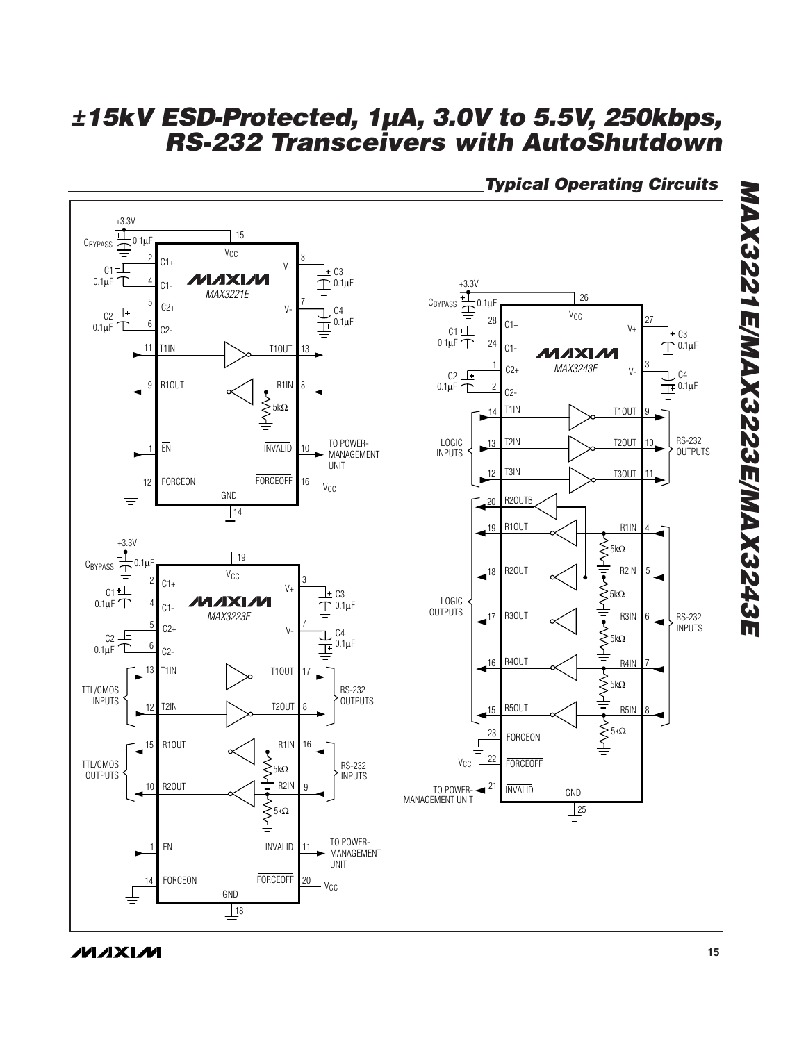

## *Typical Operating Circuits*

**MAXIM** 

*MAX3221E/MAX3223E/MAX3243E*

MAX3221E/MAX3223E/MAX3243E